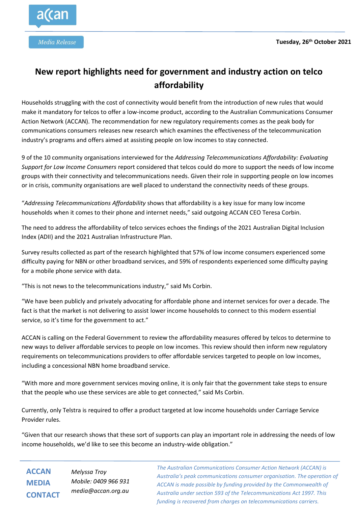

## **New report highlights need for government and industry action on telco affordability**

Households struggling with the cost of connectivity would benefit from the introduction of new rules that would make it mandatory for telcos to offer a low-income product, according to the Australian Communications Consumer Action Network (ACCAN). The recommendation for new regulatory requirements comes as the peak body for communications consumers releases new research which examines the effectiveness of the telecommunication industry's programs and offers aimed at assisting people on low incomes to stay connected.

9 of the 10 community organisations interviewed for the *Addressing Telecommunications Affordability: Evaluating Support for Low Income Consumers* report considered that telcos could do more to support the needs of low income groups with their connectivity and telecommunications needs. Given their role in supporting people on low incomes or in crisis, community organisations are well placed to understand the connectivity needs of these groups.

"*Addressing Telecommunications Affordability* shows that affordability is a key issue for many low income households when it comes to their phone and internet needs," said outgoing ACCAN CEO Teresa Corbin.

The need to address the affordability of telco services echoes the findings of the 2021 Australian Digital Inclusion Index (ADII) and the 2021 Australian Infrastructure Plan.

Survey results collected as part of the research highlighted that 57% of low income consumers experienced some difficulty paying for NBN or other broadband services, and 59% of respondents experienced some difficulty paying for a mobile phone service with data.

"This is not news to the telecommunications industry," said Ms Corbin.

"We have been publicly and privately advocating for affordable phone and internet services for over a decade. The fact is that the market is not delivering to assist lower income households to connect to this modern essential service, so it's time for the government to act."

ACCAN is calling on the Federal Government to review the affordability measures offered by telcos to determine to new ways to deliver affordable services to people on low incomes. This review should then inform new regulatory requirements on telecommunications providers to offer affordable services targeted to people on low incomes, including a concessional NBN home broadband service.

"With more and more government services moving online, it is only fair that the government take steps to ensure that the people who use these services are able to get connected," said Ms Corbin.

Currently, only Telstra is required to offer a product targeted at low income households under Carriage Service Provider rules.

"Given that our research shows that these sort of supports can play an important role in addressing the needs of low income households, we'd like to see this become an industry-wide obligation."

**ACCAN MEDIA CONTACT**

*Melyssa Troy Mobile: 0409 966 931 media@accan.org.au*

*The Australian Communications Consumer Action Network (ACCAN) is Australia's peak communications consumer organisation. The operation of ACCAN is made possible by funding provided by the Commonwealth of Australia under section 593 of the Telecommunications Act 1997. This funding is recovered from charges on telecommunications carriers.*